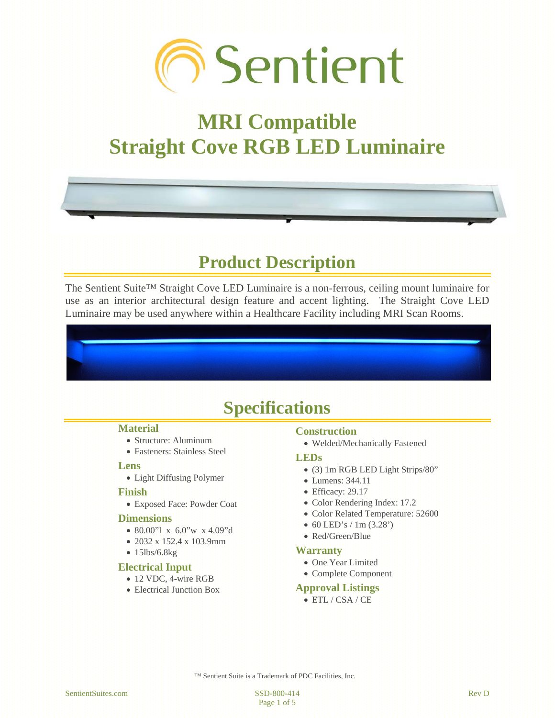

# **MRI Compatible Straight Cove RGB LED Luminaire**

# **Product Description**

The Sentient Suite™ Straight Cove LED Luminaire is a non-ferrous, ceiling mount luminaire for use as an interior architectural design feature and accent lighting. The Straight Cove LED Luminaire may be used anywhere within a Healthcare Facility including MRI Scan Rooms.

# **Specifications**

#### **Material**

- Structure: Aluminum
- Fasteners: Stainless Steel

#### **Lens**

Light Diffusing Polymer

#### **Finish**

Exposed Face: Powder Coat

#### **Dimensions**

- 80.00"l x 6.0"w x 4.09"d
- 2032 x 152.4 x 103.9mm
- $\bullet$  15lbs/6.8kg

#### **Electrical Input**

- 12 VDC, 4-wire RGB
- Electrical Junction Box

#### **Construction**

Welded/Mechanically Fastened

#### **LEDs**

- (3) 1m RGB LED Light Strips/80"
- Lumens: 344.11
- Efficacy: 29.17
- Color Rendering Index: 17.2
- Color Related Temperature: 52600
- $\bullet$  60 LED's / 1m (3.28')
- Red/Green/Blue

#### **Warranty**

- One Year Limited
- Complete Component

#### **Approval Listings**

ETL / CSA / CE

™ Sentient Suite is a Trademark of PDC Facilities, Inc.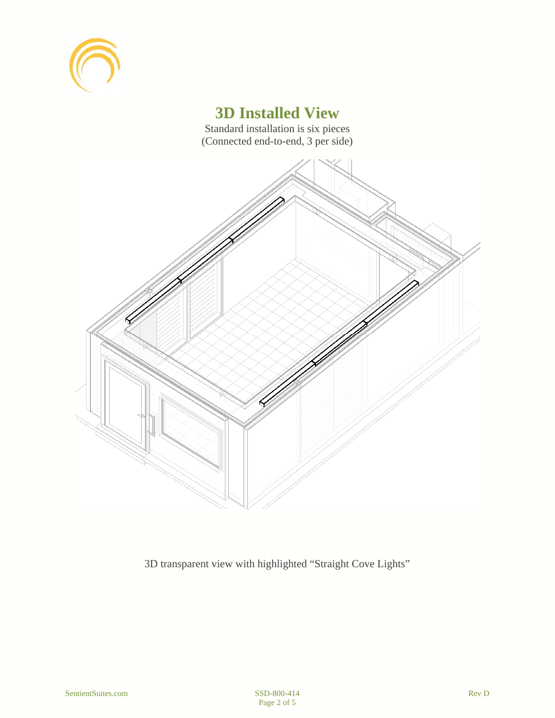

### **3D Installed View**

Standard installation is six pieces (Connected end-to-end, 3 per side)



3D transparent view with highlighted "Straight Cove Lights"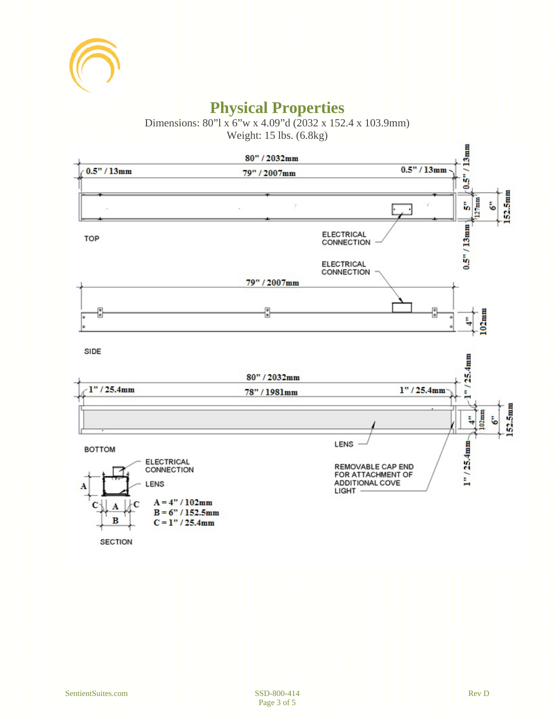

## **Physical Properties**

Dimensions: 80"l x 6"w x 4.09"d (2032 x 152.4 x 103.9mm)

Weight: 15 lbs. (6.8kg)

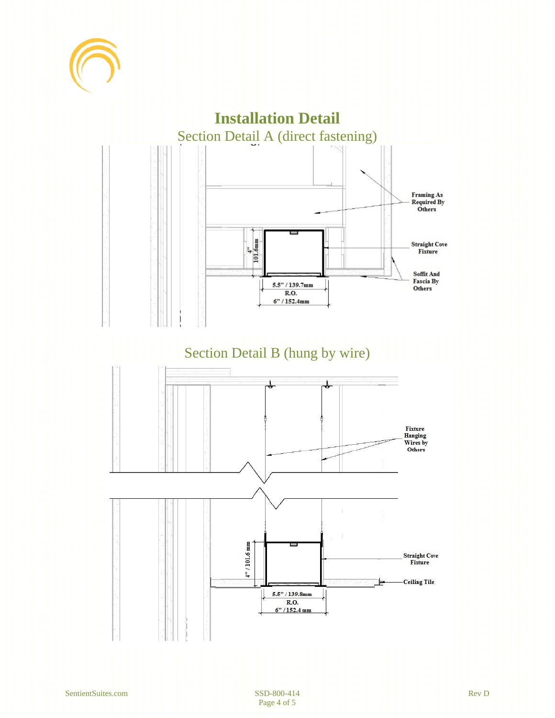